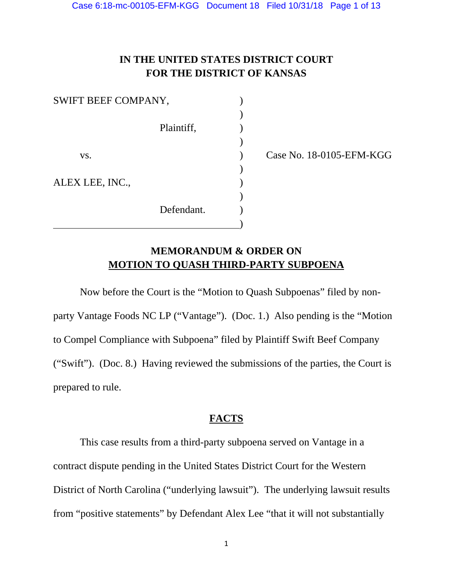# **IN THE UNITED STATES DISTRICT COURT FOR THE DISTRICT OF KANSAS**

| SWIFT BEEF COMPANY, |            |  |
|---------------------|------------|--|
|                     |            |  |
|                     | Plaintiff, |  |
|                     |            |  |
| VS.                 |            |  |
|                     |            |  |
| ALEX LEE, INC.,     |            |  |
|                     |            |  |
|                     | Defendant. |  |
|                     |            |  |

Case No. 18-0105-EFM-KGG

## **MEMORANDUM & ORDER ON MOTION TO QUASH THIRD-PARTY SUBPOENA**

 Now before the Court is the "Motion to Quash Subpoenas" filed by nonparty Vantage Foods NC LP ("Vantage"). (Doc. 1.) Also pending is the "Motion to Compel Compliance with Subpoena" filed by Plaintiff Swift Beef Company ("Swift"). (Doc. 8.) Having reviewed the submissions of the parties, the Court is prepared to rule.

## **FACTS**

 This case results from a third-party subpoena served on Vantage in a contract dispute pending in the United States District Court for the Western District of North Carolina ("underlying lawsuit"). The underlying lawsuit results from "positive statements" by Defendant Alex Lee "that it will not substantially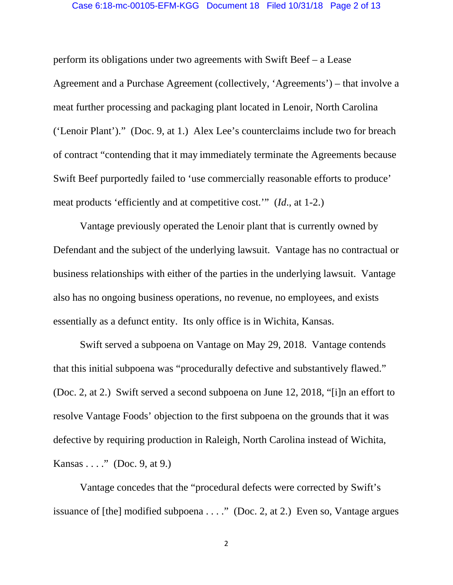#### Case 6:18-mc-00105-EFM-KGG Document 18 Filed 10/31/18 Page 2 of 13

perform its obligations under two agreements with Swift Beef – a Lease Agreement and a Purchase Agreement (collectively, 'Agreements') – that involve a meat further processing and packaging plant located in Lenoir, North Carolina ('Lenoir Plant')." (Doc. 9, at 1.) Alex Lee's counterclaims include two for breach of contract "contending that it may immediately terminate the Agreements because Swift Beef purportedly failed to 'use commercially reasonable efforts to produce' meat products 'efficiently and at competitive cost.'" (*Id*., at 1-2.)

Vantage previously operated the Lenoir plant that is currently owned by Defendant and the subject of the underlying lawsuit. Vantage has no contractual or business relationships with either of the parties in the underlying lawsuit. Vantage also has no ongoing business operations, no revenue, no employees, and exists essentially as a defunct entity. Its only office is in Wichita, Kansas.

 Swift served a subpoena on Vantage on May 29, 2018. Vantage contends that this initial subpoena was "procedurally defective and substantively flawed." (Doc. 2, at 2.) Swift served a second subpoena on June 12, 2018, "[i]n an effort to resolve Vantage Foods' objection to the first subpoena on the grounds that it was defective by requiring production in Raleigh, North Carolina instead of Wichita, Kansas  $\dots$ ." (Doc. 9, at 9.)

Vantage concedes that the "procedural defects were corrected by Swift's issuance of [the] modified subpoena . . . ." (Doc. 2, at 2.) Even so, Vantage argues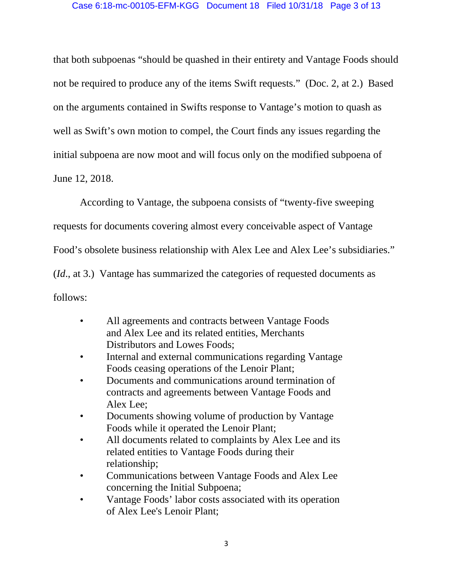that both subpoenas "should be quashed in their entirety and Vantage Foods should not be required to produce any of the items Swift requests." (Doc. 2, at 2.) Based on the arguments contained in Swifts response to Vantage's motion to quash as well as Swift's own motion to compel, the Court finds any issues regarding the initial subpoena are now moot and will focus only on the modified subpoena of June 12, 2018.

According to Vantage, the subpoena consists of "twenty-five sweeping requests for documents covering almost every conceivable aspect of Vantage Food's obsolete business relationship with Alex Lee and Alex Lee's subsidiaries." (*Id*., at 3.) Vantage has summarized the categories of requested documents as follows:

- All agreements and contracts between Vantage Foods and Alex Lee and its related entities, Merchants Distributors and Lowes Foods;
- Internal and external communications regarding Vantage Foods ceasing operations of the Lenoir Plant;
- Documents and communications around termination of contracts and agreements between Vantage Foods and Alex Lee;
- Documents showing volume of production by Vantage Foods while it operated the Lenoir Plant;
- All documents related to complaints by Alex Lee and its related entities to Vantage Foods during their relationship;
- Communications between Vantage Foods and Alex Lee concerning the Initial Subpoena;
- Vantage Foods' labor costs associated with its operation of Alex Lee's Lenoir Plant;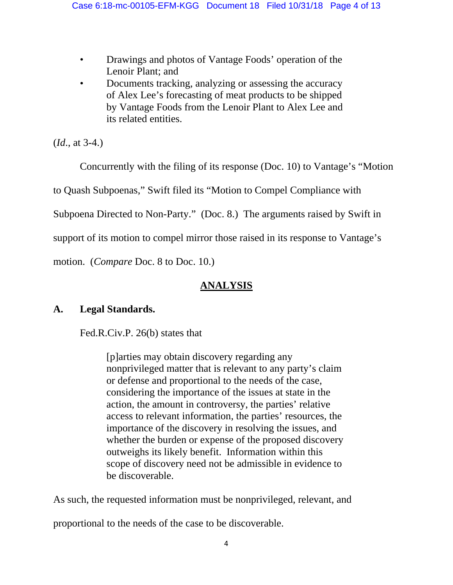- Drawings and photos of Vantage Foods' operation of the Lenoir Plant; and
- Documents tracking, analyzing or assessing the accuracy of Alex Lee's forecasting of meat products to be shipped by Vantage Foods from the Lenoir Plant to Alex Lee and its related entities.

(*Id*., at 3-4.)

Concurrently with the filing of its response (Doc. 10) to Vantage's "Motion

to Quash Subpoenas," Swift filed its "Motion to Compel Compliance with

Subpoena Directed to Non-Party." (Doc. 8.) The arguments raised by Swift in

support of its motion to compel mirror those raised in its response to Vantage's

motion. (*Compare* Doc. 8 to Doc. 10.)

# **ANALYSIS**

# **A. Legal Standards.**

Fed.R.Civ.P. 26(b) states that

[p]arties may obtain discovery regarding any nonprivileged matter that is relevant to any party's claim or defense and proportional to the needs of the case, considering the importance of the issues at state in the action, the amount in controversy, the parties' relative access to relevant information, the parties' resources, the importance of the discovery in resolving the issues, and whether the burden or expense of the proposed discovery outweighs its likely benefit. Information within this scope of discovery need not be admissible in evidence to be discoverable.

As such, the requested information must be nonprivileged, relevant, and

proportional to the needs of the case to be discoverable.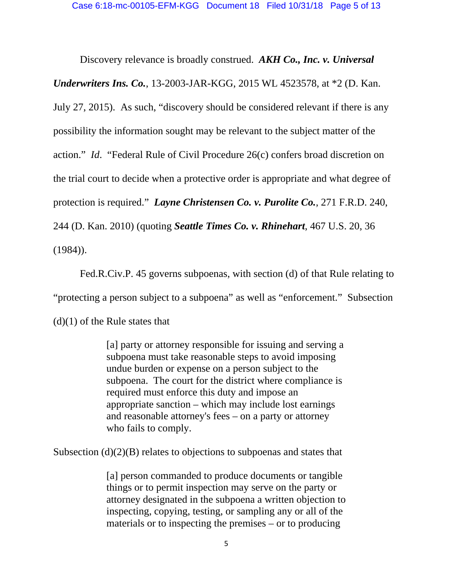Discovery relevance is broadly construed. *AKH Co., Inc. v. Universal Underwriters Ins. Co.*, 13-2003-JAR-KGG, 2015 WL 4523578, at \*2 (D. Kan. July 27, 2015). As such, "discovery should be considered relevant if there is any possibility the information sought may be relevant to the subject matter of the action." *Id*. "Federal Rule of Civil Procedure 26(c) confers broad discretion on the trial court to decide when a protective order is appropriate and what degree of protection is required." *Layne Christensen Co. v. Purolite Co.*, 271 F.R.D. 240, 244 (D. Kan. 2010) (quoting *Seattle Times Co. v. Rhinehart*, 467 U.S. 20, 36  $(1984)$ .

 Fed.R.Civ.P. 45 governs subpoenas, with section (d) of that Rule relating to "protecting a person subject to a subpoena" as well as "enforcement." Subsection  $(d)(1)$  of the Rule states that

> [a] party or attorney responsible for issuing and serving a subpoena must take reasonable steps to avoid imposing undue burden or expense on a person subject to the subpoena. The court for the district where compliance is required must enforce this duty and impose an appropriate sanction – which may include lost earnings and reasonable attorney's fees – on a party or attorney who fails to comply.

Subsection  $(d)(2)(B)$  relates to objections to subpoenas and states that

[a] person commanded to produce documents or tangible things or to permit inspection may serve on the party or attorney designated in the subpoena a written objection to inspecting, copying, testing, or sampling any or all of the materials or to inspecting the premises – or to producing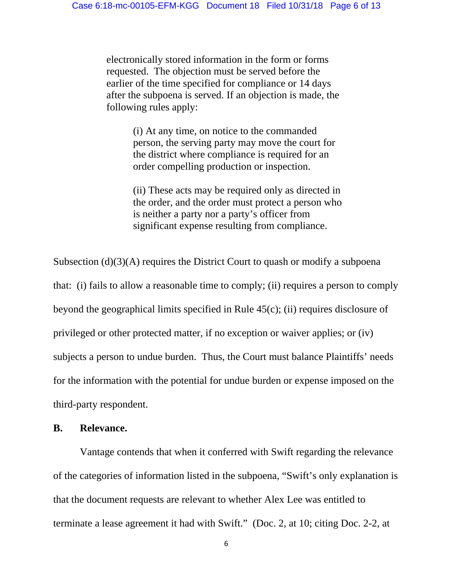electronically stored information in the form or forms requested. The objection must be served before the earlier of the time specified for compliance or 14 days after the subpoena is served. If an objection is made, the following rules apply:

> (i) At any time, on notice to the commanded person, the serving party may move the court for the district where compliance is required for an order compelling production or inspection.

(ii) These acts may be required only as directed in the order, and the order must protect a person who is neither a party nor a party's officer from significant expense resulting from compliance.

Subsection  $(d)(3)(A)$  requires the District Court to quash or modify a subpoena that: (i) fails to allow a reasonable time to comply; (ii) requires a person to comply beyond the geographical limits specified in Rule 45(c); (ii) requires disclosure of privileged or other protected matter, if no exception or waiver applies; or (iv) subjects a person to undue burden. Thus, the Court must balance Plaintiffs' needs for the information with the potential for undue burden or expense imposed on the third-party respondent.

## **B. Relevance.**

 Vantage contends that when it conferred with Swift regarding the relevance of the categories of information listed in the subpoena, "Swift's only explanation is that the document requests are relevant to whether Alex Lee was entitled to terminate a lease agreement it had with Swift." (Doc. 2, at 10; citing Doc. 2-2, at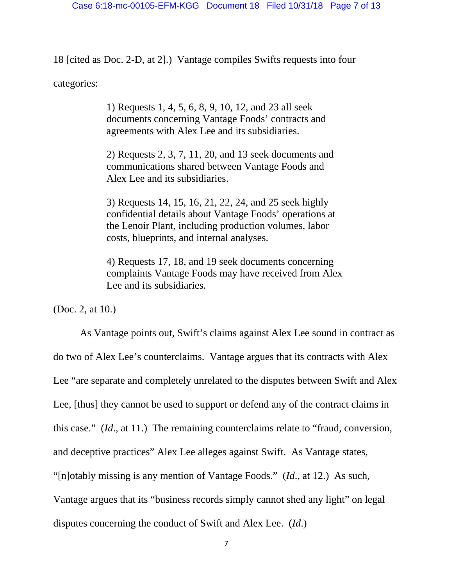18 [cited as Doc. 2-D, at 2].) Vantage compiles Swifts requests into four categories:

> 1) Requests 1, 4, 5, 6, 8, 9, 10, 12, and 23 all seek documents concerning Vantage Foods' contracts and agreements with Alex Lee and its subsidiaries.

2) Requests 2, 3, 7, 11, 20, and 13 seek documents and communications shared between Vantage Foods and Alex Lee and its subsidiaries.

3) Requests 14, 15, 16, 21, 22, 24, and 25 seek highly confidential details about Vantage Foods' operations at the Lenoir Plant, including production volumes, labor costs, blueprints, and internal analyses.

4) Requests 17, 18, and 19 seek documents concerning complaints Vantage Foods may have received from Alex Lee and its subsidiaries.

(Doc. 2, at 10.)

As Vantage points out, Swift's claims against Alex Lee sound in contract as do two of Alex Lee's counterclaims. Vantage argues that its contracts with Alex Lee "are separate and completely unrelated to the disputes between Swift and Alex Lee, [thus] they cannot be used to support or defend any of the contract claims in this case." (*Id*., at 11.) The remaining counterclaims relate to "fraud, conversion, and deceptive practices" Alex Lee alleges against Swift. As Vantage states, "[n]otably missing is any mention of Vantage Foods." (*Id*., at 12.) As such, Vantage argues that its "business records simply cannot shed any light" on legal disputes concerning the conduct of Swift and Alex Lee. (*Id*.)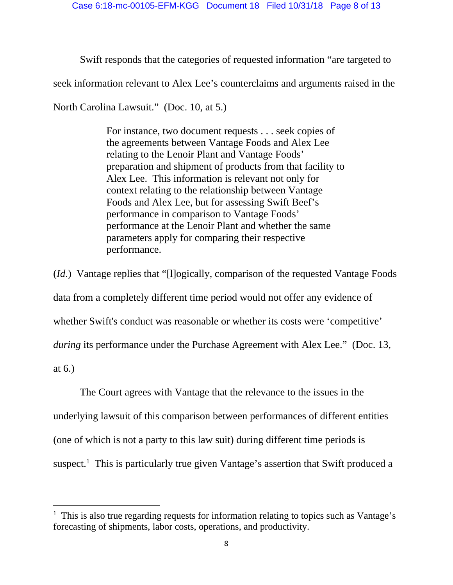Swift responds that the categories of requested information "are targeted to

seek information relevant to Alex Lee's counterclaims and arguments raised in the

North Carolina Lawsuit." (Doc. 10, at 5.)

For instance, two document requests . . . seek copies of the agreements between Vantage Foods and Alex Lee relating to the Lenoir Plant and Vantage Foods' preparation and shipment of products from that facility to Alex Lee. This information is relevant not only for context relating to the relationship between Vantage Foods and Alex Lee, but for assessing Swift Beef's performance in comparison to Vantage Foods' performance at the Lenoir Plant and whether the same parameters apply for comparing their respective performance.

(*Id*.) Vantage replies that "[l]ogically, comparison of the requested Vantage Foods data from a completely different time period would not offer any evidence of whether Swift's conduct was reasonable or whether its costs were 'competitive' *during* its performance under the Purchase Agreement with Alex Lee." (Doc. 13, at 6.)

The Court agrees with Vantage that the relevance to the issues in the underlying lawsuit of this comparison between performances of different entities (one of which is not a party to this law suit) during different time periods is suspect.<sup>1</sup> This is particularly true given Vantage's assertion that Swift produced a

<sup>&</sup>lt;sup>1</sup> This is also true regarding requests for information relating to topics such as Vantage's forecasting of shipments, labor costs, operations, and productivity.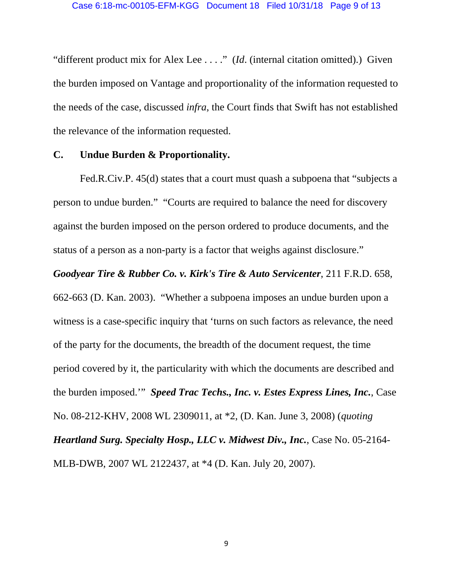"different product mix for Alex Lee . . . ." (*Id.* (internal citation omitted).) Given the burden imposed on Vantage and proportionality of the information requested to the needs of the case, discussed *infra*, the Court finds that Swift has not established the relevance of the information requested.

### **C. Undue Burden & Proportionality.**

 Fed.R.Civ.P. 45(d) states that a court must quash a subpoena that "subjects a person to undue burden." "Courts are required to balance the need for discovery against the burden imposed on the person ordered to produce documents, and the status of a person as a non-party is a factor that weighs against disclosure."

*Goodyear Tire & Rubber Co. v. Kirk's Tire & Auto Servicenter*, 211 F.R.D. 658, 662-663 (D. Kan. 2003). "Whether a subpoena imposes an undue burden upon a witness is a case-specific inquiry that 'turns on such factors as relevance, the need of the party for the documents, the breadth of the document request, the time period covered by it, the particularity with which the documents are described and the burden imposed.'" *Speed Trac Techs., Inc. v. Estes Express Lines, Inc.*, Case No. 08-212-KHV, 2008 WL 2309011, at \*2, (D. Kan. June 3, 2008) (*quoting Heartland Surg. Specialty Hosp., LLC v. Midwest Div., Inc.*, Case No. 05-2164- MLB-DWB, 2007 WL 2122437, at \*4 (D. Kan. July 20, 2007).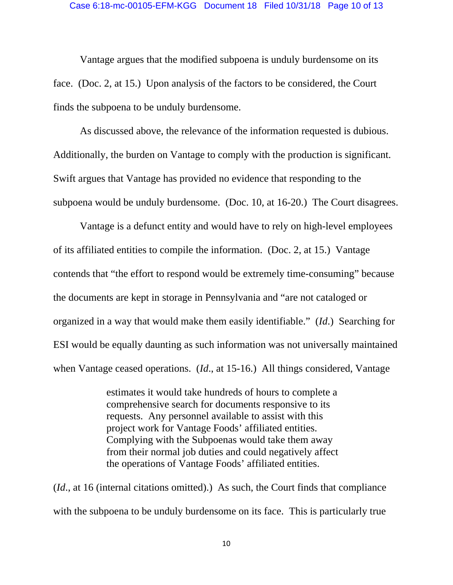Vantage argues that the modified subpoena is unduly burdensome on its face. (Doc. 2, at 15.) Upon analysis of the factors to be considered, the Court finds the subpoena to be unduly burdensome.

As discussed above, the relevance of the information requested is dubious. Additionally, the burden on Vantage to comply with the production is significant. Swift argues that Vantage has provided no evidence that responding to the subpoena would be unduly burdensome. (Doc. 10, at 16-20.) The Court disagrees.

Vantage is a defunct entity and would have to rely on high-level employees of its affiliated entities to compile the information. (Doc. 2, at 15.) Vantage contends that "the effort to respond would be extremely time-consuming" because the documents are kept in storage in Pennsylvania and "are not cataloged or organized in a way that would make them easily identifiable." (*Id*.) Searching for ESI would be equally daunting as such information was not universally maintained when Vantage ceased operations. (*Id*., at 15-16.) All things considered, Vantage

> estimates it would take hundreds of hours to complete a comprehensive search for documents responsive to its requests. Any personnel available to assist with this project work for Vantage Foods' affiliated entities. Complying with the Subpoenas would take them away from their normal job duties and could negatively affect the operations of Vantage Foods' affiliated entities.

(*Id*., at 16 (internal citations omitted).) As such, the Court finds that compliance with the subpoena to be unduly burdensome on its face. This is particularly true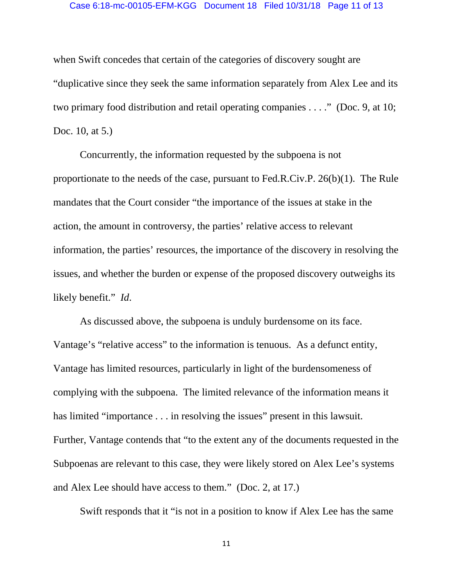#### Case 6:18-mc-00105-EFM-KGG Document 18 Filed 10/31/18 Page 11 of 13

when Swift concedes that certain of the categories of discovery sought are "duplicative since they seek the same information separately from Alex Lee and its two primary food distribution and retail operating companies . . . ." (Doc. 9, at 10; Doc. 10, at 5.)

 Concurrently, the information requested by the subpoena is not proportionate to the needs of the case, pursuant to Fed.R.Civ.P. 26(b)(1). The Rule mandates that the Court consider "the importance of the issues at stake in the action, the amount in controversy, the parties' relative access to relevant information, the parties' resources, the importance of the discovery in resolving the issues, and whether the burden or expense of the proposed discovery outweighs its likely benefit." *Id*.

 As discussed above, the subpoena is unduly burdensome on its face. Vantage's "relative access" to the information is tenuous. As a defunct entity, Vantage has limited resources, particularly in light of the burdensomeness of complying with the subpoena. The limited relevance of the information means it has limited "importance . . . in resolving the issues" present in this lawsuit. Further, Vantage contends that "to the extent any of the documents requested in the Subpoenas are relevant to this case, they were likely stored on Alex Lee's systems and Alex Lee should have access to them." (Doc. 2, at 17.)

Swift responds that it "is not in a position to know if Alex Lee has the same

11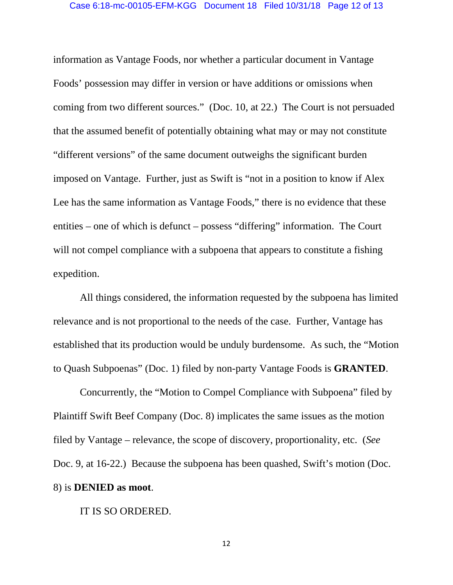information as Vantage Foods, nor whether a particular document in Vantage Foods' possession may differ in version or have additions or omissions when coming from two different sources." (Doc. 10, at 22.) The Court is not persuaded that the assumed benefit of potentially obtaining what may or may not constitute "different versions" of the same document outweighs the significant burden imposed on Vantage. Further, just as Swift is "not in a position to know if Alex Lee has the same information as Vantage Foods," there is no evidence that these entities – one of which is defunct – possess "differing" information. The Court will not compel compliance with a subpoena that appears to constitute a fishing expedition.

All things considered, the information requested by the subpoena has limited relevance and is not proportional to the needs of the case. Further, Vantage has established that its production would be unduly burdensome. As such, the "Motion to Quash Subpoenas" (Doc. 1) filed by non-party Vantage Foods is **GRANTED**.

Concurrently, the "Motion to Compel Compliance with Subpoena" filed by Plaintiff Swift Beef Company (Doc. 8) implicates the same issues as the motion filed by Vantage – relevance, the scope of discovery, proportionality, etc. (*See*  Doc. 9, at 16-22.) Because the subpoena has been quashed, Swift's motion (Doc. 8) is **DENIED as moot**.

### IT IS SO ORDERED.

12